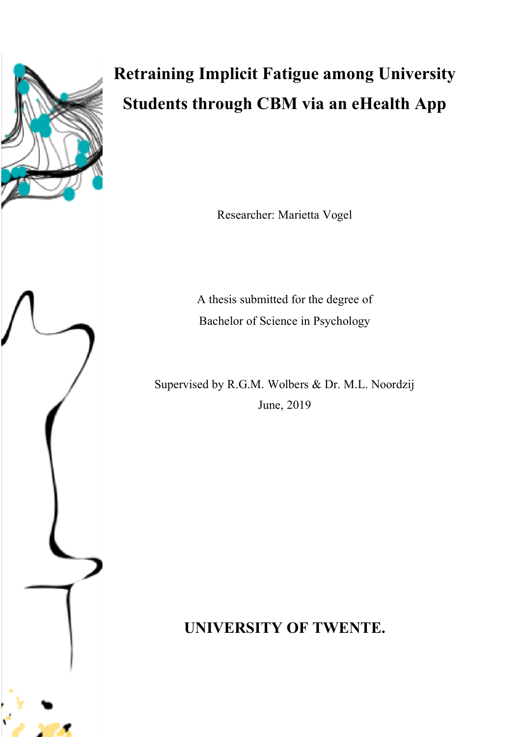

# **Retraining Implicit Fatigue among University Students through CBM via an eHealth App**

Researcher: Marietta Vogel

A thesis submitted for the degree of Bachelor of Science in Psychology

Supervised by R.G.M. Wolbers & Dr. M.L. Noordzij June, 2019

**UNIVERSITY OF TWENTE.**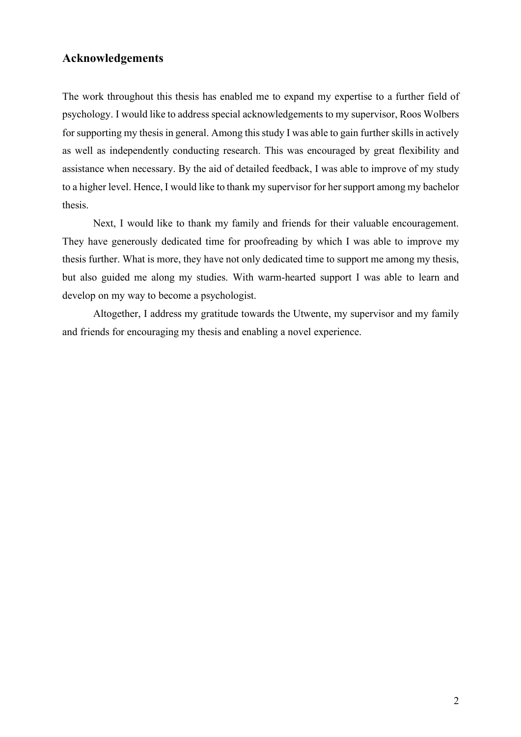# **Acknowledgements**

The work throughout this thesis has enabled me to expand my expertise to a further field of psychology. I would like to address special acknowledgements to my supervisor, Roos Wolbers for supporting my thesis in general. Among this study I was able to gain further skills in actively as well as independently conducting research. This was encouraged by great flexibility and assistance when necessary. By the aid of detailed feedback, I was able to improve of my study to a higher level. Hence, I would like to thank my supervisor for her support among my bachelor thesis.

Next, I would like to thank my family and friends for their valuable encouragement. They have generously dedicated time for proofreading by which I was able to improve my thesis further. What is more, they have not only dedicated time to support me among my thesis, but also guided me along my studies. With warm-hearted support I was able to learn and develop on my way to become a psychologist.

Altogether, I address my gratitude towards the Utwente, my supervisor and my family and friends for encouraging my thesis and enabling a novel experience.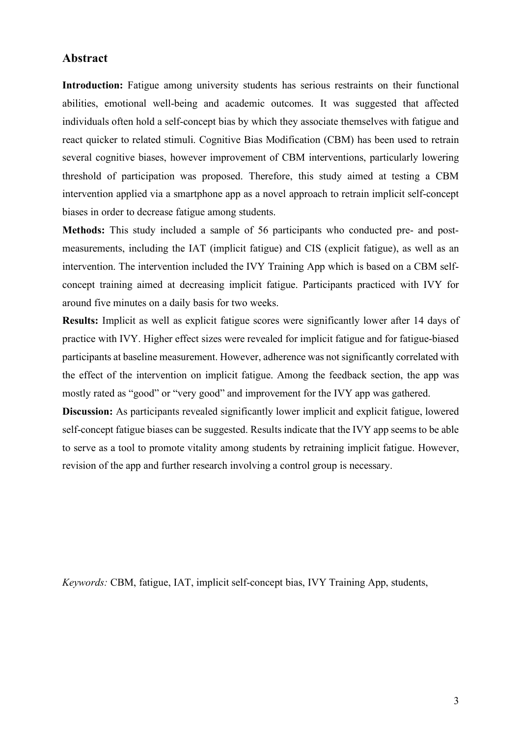# **Abstract**

**Introduction:** Fatigue among university students has serious restraints on their functional abilities, emotional well-being and academic outcomes. It was suggested that affected individuals often hold a self-concept bias by which they associate themselves with fatigue and react quicker to related stimuli. Cognitive Bias Modification (CBM) has been used to retrain several cognitive biases, however improvement of CBM interventions, particularly lowering threshold of participation was proposed. Therefore, this study aimed at testing a CBM intervention applied via a smartphone app as a novel approach to retrain implicit self-concept biases in order to decrease fatigue among students.

**Methods:** This study included a sample of 56 participants who conducted pre- and postmeasurements, including the IAT (implicit fatigue) and CIS (explicit fatigue), as well as an intervention. The intervention included the IVY Training App which is based on a CBM selfconcept training aimed at decreasing implicit fatigue. Participants practiced with IVY for around five minutes on a daily basis for two weeks.

**Results:** Implicit as well as explicit fatigue scores were significantly lower after 14 days of practice with IVY. Higher effect sizes were revealed for implicit fatigue and for fatigue-biased participants at baseline measurement. However, adherence was not significantly correlated with the effect of the intervention on implicit fatigue. Among the feedback section, the app was mostly rated as "good" or "very good" and improvement for the IVY app was gathered.

**Discussion:** As participants revealed significantly lower implicit and explicit fatigue, lowered self-concept fatigue biases can be suggested. Results indicate that the IVY app seems to be able to serve as a tool to promote vitality among students by retraining implicit fatigue. However, revision of the app and further research involving a control group is necessary.

*Keywords:* CBM, fatigue, IAT, implicit self-concept bias, IVY Training App, students,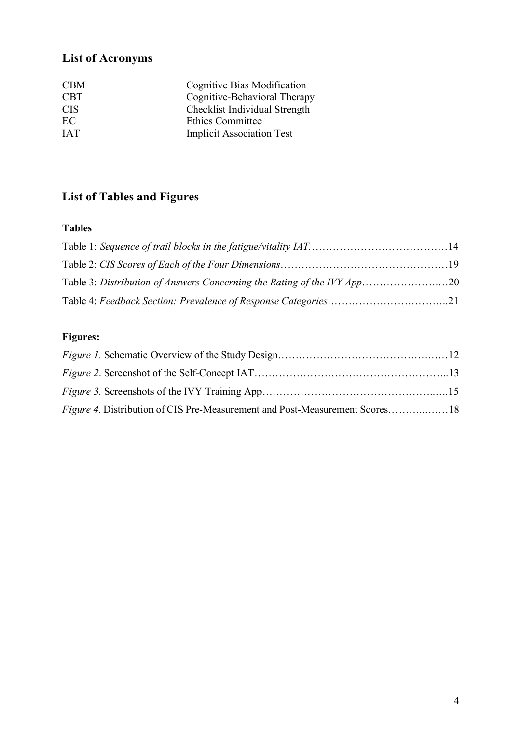# **List of Acronyms**

| <b>CBM</b> | Cognitive Bias Modification      |
|------------|----------------------------------|
| <b>CBT</b> | Cognitive-Behavioral Therapy     |
| <b>CIS</b> | Checklist Individual Strength    |
| EC         | <b>Ethics Committee</b>          |
| <b>TAT</b> | <b>Implicit Association Test</b> |

# **List of Tables and Figures**

# **Tables**

| Table 3: Distribution of Answers Concerning the Rating of the IVY App20 |  |
|-------------------------------------------------------------------------|--|
|                                                                         |  |

# **Figures:**

| <i>Figure 4.</i> Distribution of CIS Pre-Measurement and Post-Measurement Scores18 |  |
|------------------------------------------------------------------------------------|--|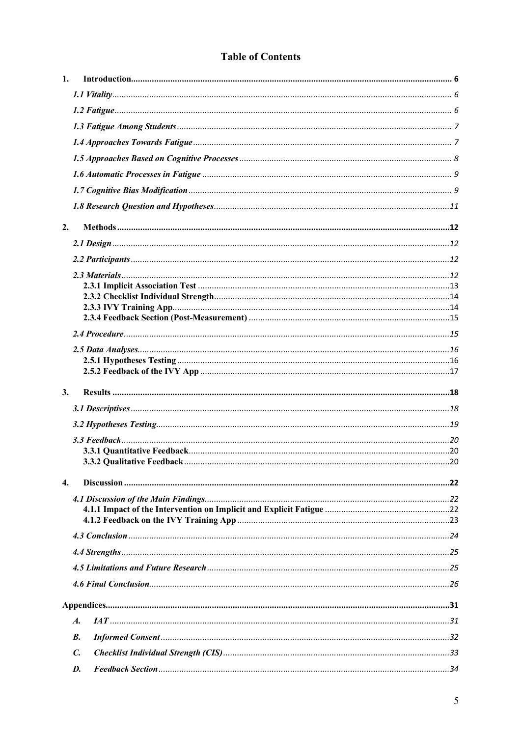# **Table of Contents**

| 1. |                    |  |
|----|--------------------|--|
|    |                    |  |
|    |                    |  |
|    |                    |  |
|    |                    |  |
|    |                    |  |
|    |                    |  |
|    |                    |  |
|    |                    |  |
| 2. |                    |  |
|    |                    |  |
|    |                    |  |
|    |                    |  |
|    |                    |  |
|    |                    |  |
|    |                    |  |
|    |                    |  |
|    |                    |  |
|    |                    |  |
|    |                    |  |
|    |                    |  |
| 3. |                    |  |
|    |                    |  |
|    |                    |  |
|    |                    |  |
|    |                    |  |
|    |                    |  |
| 4. |                    |  |
|    |                    |  |
|    |                    |  |
|    |                    |  |
|    |                    |  |
|    |                    |  |
|    |                    |  |
|    |                    |  |
|    |                    |  |
|    | $\boldsymbol{A}$ . |  |
|    | В.                 |  |
|    | $\mathcal{C}$ .    |  |
|    | D.                 |  |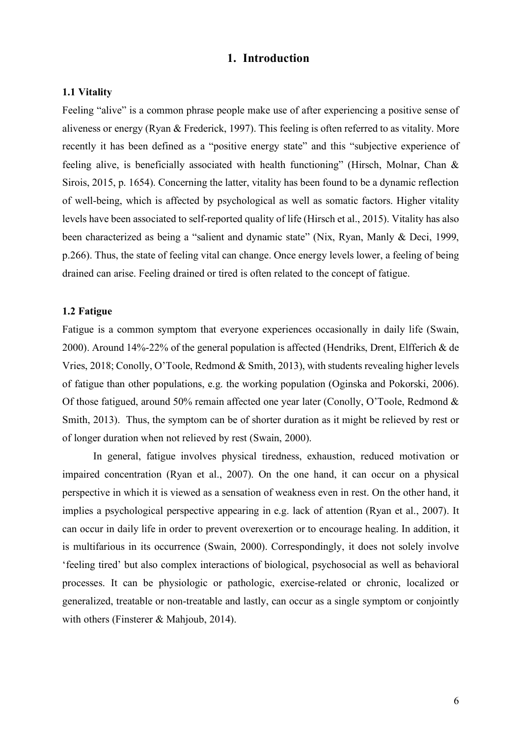# **1. Introduction**

# **1.1 Vitality**

Feeling "alive" is a common phrase people make use of after experiencing a positive sense of aliveness or energy (Ryan & Frederick, 1997). This feeling is often referred to as vitality. More recently it has been defined as a "positive energy state" and this "subjective experience of feeling alive, is beneficially associated with health functioning" (Hirsch, Molnar, Chan & Sirois, 2015, p. 1654). Concerning the latter, vitality has been found to be a dynamic reflection of well-being, which is affected by psychological as well as somatic factors. Higher vitality levels have been associated to self-reported quality of life (Hirsch et al., 2015). Vitality has also been characterized as being a "salient and dynamic state" (Nix, Ryan, Manly & Deci, 1999, p.266). Thus, the state of feeling vital can change. Once energy levels lower, a feeling of being drained can arise. Feeling drained or tired is often related to the concept of fatigue.

# **1.2 Fatigue**

Fatigue is a common symptom that everyone experiences occasionally in daily life (Swain, 2000). Around 14%-22% of the general population is affected (Hendriks, Drent, Elfferich & de Vries, 2018; Conolly, O'Toole, Redmond & Smith, 2013), with students revealing higher levels of fatigue than other populations, e.g. the working population (Oginska and Pokorski, 2006). Of those fatigued, around 50% remain affected one year later (Conolly, O'Toole, Redmond & Smith, 2013). Thus, the symptom can be of shorter duration as it might be relieved by rest or of longer duration when not relieved by rest (Swain, 2000).

In general, fatigue involves physical tiredness, exhaustion, reduced motivation or impaired concentration (Ryan et al., 2007). On the one hand, it can occur on a physical perspective in which it is viewed as a sensation of weakness even in rest. On the other hand, it implies a psychological perspective appearing in e.g. lack of attention (Ryan et al., 2007). It can occur in daily life in order to prevent overexertion or to encourage healing. In addition, it is multifarious in its occurrence (Swain, 2000). Correspondingly, it does not solely involve 'feeling tired' but also complex interactions of biological, psychosocial as well as behavioral processes. It can be physiologic or pathologic, exercise-related or chronic, localized or generalized, treatable or non-treatable and lastly, can occur as a single symptom or conjointly with others (Finsterer & Mahjoub, 2014).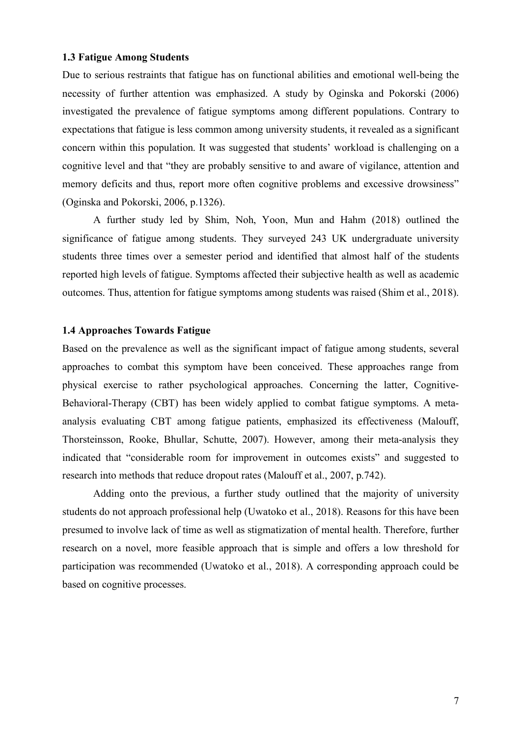#### **1.3 Fatigue Among Students**

Due to serious restraints that fatigue has on functional abilities and emotional well-being the necessity of further attention was emphasized. A study by Oginska and Pokorski (2006) investigated the prevalence of fatigue symptoms among different populations. Contrary to expectations that fatigue is less common among university students, it revealed as a significant concern within this population. It was suggested that students' workload is challenging on a cognitive level and that "they are probably sensitive to and aware of vigilance, attention and memory deficits and thus, report more often cognitive problems and excessive drowsiness" (Oginska and Pokorski, 2006, p.1326).

A further study led by Shim, Noh, Yoon, Mun and Hahm (2018) outlined the significance of fatigue among students. They surveyed 243 UK undergraduate university students three times over a semester period and identified that almost half of the students reported high levels of fatigue. Symptoms affected their subjective health as well as academic outcomes. Thus, attention for fatigue symptoms among students was raised (Shim et al., 2018).

# **1.4 Approaches Towards Fatigue**

Based on the prevalence as well as the significant impact of fatigue among students, several approaches to combat this symptom have been conceived. These approaches range from physical exercise to rather psychological approaches. Concerning the latter, Cognitive-Behavioral-Therapy (CBT) has been widely applied to combat fatigue symptoms. A metaanalysis evaluating CBT among fatigue patients, emphasized its effectiveness (Malouff, Thorsteinsson, Rooke, Bhullar, Schutte, 2007). However, among their meta-analysis they indicated that "considerable room for improvement in outcomes exists" and suggested to research into methods that reduce dropout rates (Malouff et al., 2007, p.742).

Adding onto the previous, a further study outlined that the majority of university students do not approach professional help (Uwatoko et al., 2018). Reasons for this have been presumed to involve lack of time as well as stigmatization of mental health. Therefore, further research on a novel, more feasible approach that is simple and offers a low threshold for participation was recommended (Uwatoko et al., 2018). A corresponding approach could be based on cognitive processes.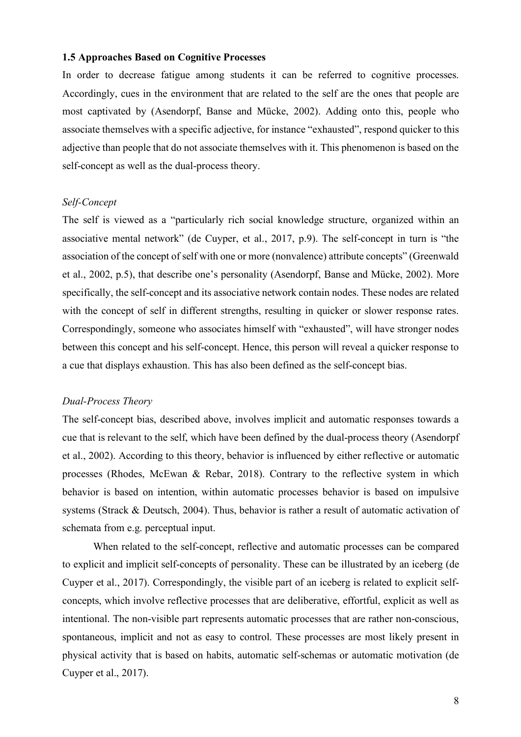#### **1.5 Approaches Based on Cognitive Processes**

In order to decrease fatigue among students it can be referred to cognitive processes. Accordingly, cues in the environment that are related to the self are the ones that people are most captivated by (Asendorpf, Banse and Mücke, 2002). Adding onto this, people who associate themselves with a specific adjective, for instance "exhausted", respond quicker to this adjective than people that do not associate themselves with it. This phenomenon is based on the self-concept as well as the dual-process theory.

#### *Self-Concept*

The self is viewed as a "particularly rich social knowledge structure, organized within an associative mental network" (de Cuyper, et al., 2017, p.9). The self-concept in turn is "the association of the concept of self with one or more (nonvalence) attribute concepts" (Greenwald et al., 2002, p.5), that describe one's personality (Asendorpf, Banse and Mücke, 2002). More specifically, the self-concept and its associative network contain nodes. These nodes are related with the concept of self in different strengths, resulting in quicker or slower response rates. Correspondingly, someone who associates himself with "exhausted", will have stronger nodes between this concept and his self-concept. Hence, this person will reveal a quicker response to a cue that displays exhaustion. This has also been defined as the self-concept bias.

# *Dual-Process Theory*

The self-concept bias, described above, involves implicit and automatic responses towards a cue that is relevant to the self, which have been defined by the dual-process theory (Asendorpf et al., 2002). According to this theory, behavior is influenced by either reflective or automatic processes (Rhodes, McEwan & Rebar, 2018). Contrary to the reflective system in which behavior is based on intention, within automatic processes behavior is based on impulsive systems (Strack & Deutsch, 2004). Thus, behavior is rather a result of automatic activation of schemata from e.g. perceptual input.

When related to the self-concept, reflective and automatic processes can be compared to explicit and implicit self-concepts of personality. These can be illustrated by an iceberg (de Cuyper et al., 2017). Correspondingly, the visible part of an iceberg is related to explicit selfconcepts, which involve reflective processes that are deliberative, effortful, explicit as well as intentional. The non-visible part represents automatic processes that are rather non-conscious, spontaneous, implicit and not as easy to control. These processes are most likely present in physical activity that is based on habits, automatic self-schemas or automatic motivation (de Cuyper et al., 2017).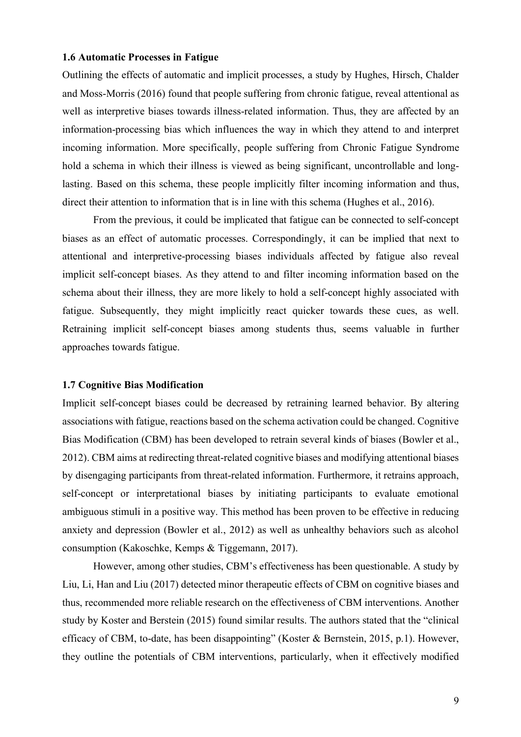#### **1.6 Automatic Processes in Fatigue**

Outlining the effects of automatic and implicit processes, a study by Hughes, Hirsch, Chalder and Moss-Morris (2016) found that people suffering from chronic fatigue, reveal attentional as well as interpretive biases towards illness-related information. Thus, they are affected by an information-processing bias which influences the way in which they attend to and interpret incoming information. More specifically, people suffering from Chronic Fatigue Syndrome hold a schema in which their illness is viewed as being significant, uncontrollable and longlasting. Based on this schema, these people implicitly filter incoming information and thus, direct their attention to information that is in line with this schema (Hughes et al., 2016).

From the previous, it could be implicated that fatigue can be connected to self-concept biases as an effect of automatic processes. Correspondingly, it can be implied that next to attentional and interpretive-processing biases individuals affected by fatigue also reveal implicit self-concept biases. As they attend to and filter incoming information based on the schema about their illness, they are more likely to hold a self-concept highly associated with fatigue. Subsequently, they might implicitly react quicker towards these cues, as well. Retraining implicit self-concept biases among students thus, seems valuable in further approaches towards fatigue.

# **1.7 Cognitive Bias Modification**

Implicit self-concept biases could be decreased by retraining learned behavior. By altering associations with fatigue, reactions based on the schema activation could be changed. Cognitive Bias Modification (CBM) has been developed to retrain several kinds of biases (Bowler et al., 2012). CBM aims at redirecting threat-related cognitive biases and modifying attentional biases by disengaging participants from threat-related information. Furthermore, it retrains approach, self-concept or interpretational biases by initiating participants to evaluate emotional ambiguous stimuli in a positive way. This method has been proven to be effective in reducing anxiety and depression (Bowler et al., 2012) as well as unhealthy behaviors such as alcohol consumption (Kakoschke, Kemps & Tiggemann, 2017).

However, among other studies, CBM's effectiveness has been questionable. A study by Liu, Li, Han and Liu (2017) detected minor therapeutic effects of CBM on cognitive biases and thus, recommended more reliable research on the effectiveness of CBM interventions. Another study by Koster and Berstein (2015) found similar results. The authors stated that the "clinical efficacy of CBM, to-date, has been disappointing" (Koster & Bernstein, 2015, p.1). However, they outline the potentials of CBM interventions, particularly, when it effectively modified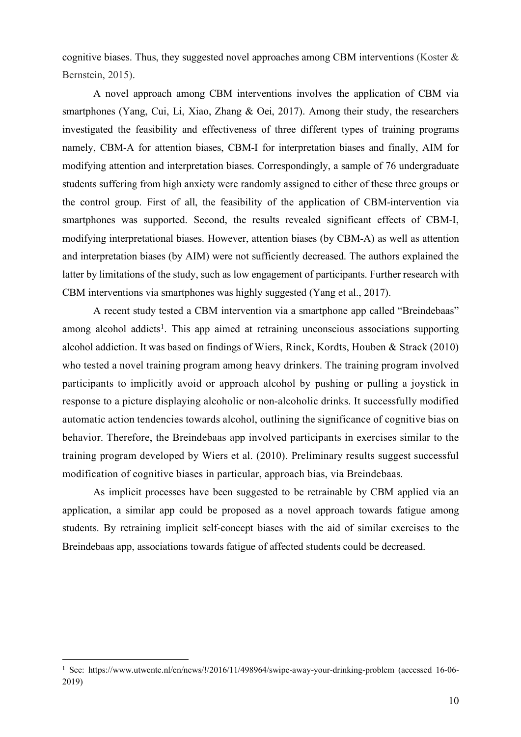cognitive biases. Thus, they suggested novel approaches among CBM interventions (Koster  $\&$ Bernstein, 2015).

A novel approach among CBM interventions involves the application of CBM via smartphones (Yang, Cui, Li, Xiao, Zhang & Oei, 2017). Among their study, the researchers investigated the feasibility and effectiveness of three different types of training programs namely, CBM-A for attention biases, CBM-I for interpretation biases and finally, AIM for modifying attention and interpretation biases. Correspondingly, a sample of 76 undergraduate students suffering from high anxiety were randomly assigned to either of these three groups or the control group. First of all, the feasibility of the application of CBM-intervention via smartphones was supported. Second, the results revealed significant effects of CBM-I, modifying interpretational biases. However, attention biases (by CBM-A) as well as attention and interpretation biases (by AIM) were not sufficiently decreased. The authors explained the latter by limitations of the study, such as low engagement of participants. Further research with CBM interventions via smartphones was highly suggested (Yang et al., 2017).

A recent study tested a CBM intervention via a smartphone app called "Breindebaas" among alcohol addicts<sup>1</sup>. This app aimed at retraining unconscious associations supporting alcohol addiction. It was based on findings of Wiers, Rinck, Kordts, Houben & Strack (2010) who tested a novel training program among heavy drinkers. The training program involved participants to implicitly avoid or approach alcohol by pushing or pulling a joystick in response to a picture displaying alcoholic or non-alcoholic drinks. It successfully modified automatic action tendencies towards alcohol, outlining the significance of cognitive bias on behavior. Therefore, the Breindebaas app involved participants in exercises similar to the training program developed by Wiers et al. (2010). Preliminary results suggest successful modification of cognitive biases in particular, approach bias, via Breindebaas.

As implicit processes have been suggested to be retrainable by CBM applied via an application, a similar app could be proposed as a novel approach towards fatigue among students. By retraining implicit self-concept biases with the aid of similar exercises to the Breindebaas app, associations towards fatigue of affected students could be decreased.

<sup>&</sup>lt;sup>1</sup> See: https://www.utwente.nl/en/news/!/2016/11/498964/swipe-away-your-drinking-problem (accessed 16-06-2019)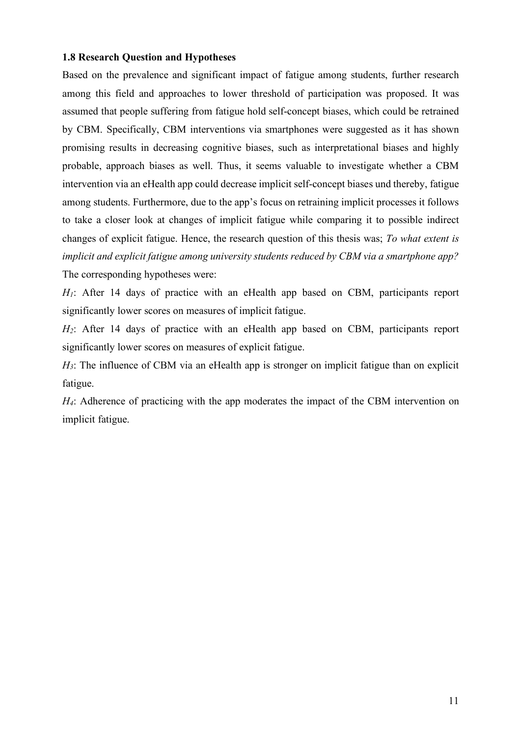# **1.8 Research Question and Hypotheses**

Based on the prevalence and significant impact of fatigue among students, further research among this field and approaches to lower threshold of participation was proposed. It was assumed that people suffering from fatigue hold self-concept biases, which could be retrained by CBM. Specifically, CBM interventions via smartphones were suggested as it has shown promising results in decreasing cognitive biases, such as interpretational biases and highly probable, approach biases as well. Thus, it seems valuable to investigate whether a CBM intervention via an eHealth app could decrease implicit self-concept biases und thereby, fatigue among students. Furthermore, due to the app's focus on retraining implicit processes it follows to take a closer look at changes of implicit fatigue while comparing it to possible indirect changes of explicit fatigue. Hence, the research question of this thesis was; *To what extent is implicit and explicit fatigue among university students reduced by CBM via a smartphone app?* The corresponding hypotheses were:

*H1*: After 14 days of practice with an eHealth app based on CBM, participants report significantly lower scores on measures of implicit fatigue.

*H2*: After 14 days of practice with an eHealth app based on CBM, participants report significantly lower scores on measures of explicit fatigue.

*H3*: The influence of CBM via an eHealth app is stronger on implicit fatigue than on explicit fatigue.

*H4*: Adherence of practicing with the app moderates the impact of the CBM intervention on implicit fatigue.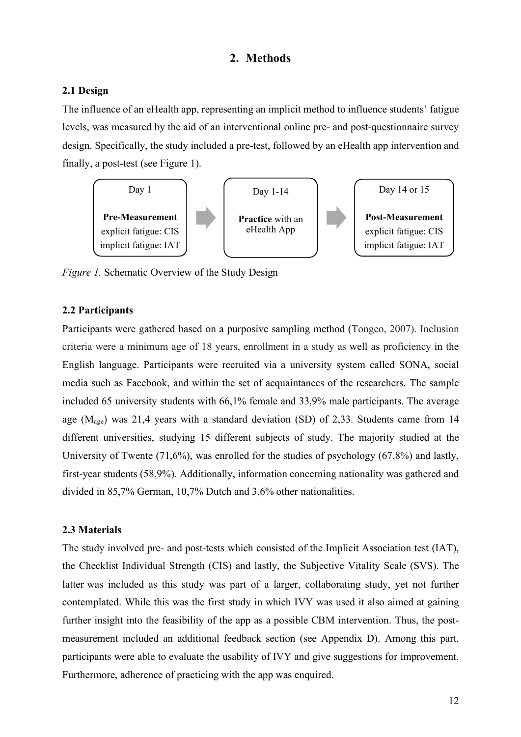# **2. Methods**

# **2.1 Design**

The influence of an eHealth app, representing an implicit method to influence students' fatigue levels, was measured by the aid of an interventional online pre- and post-questionnaire survey design. Specifically, the study included a pre-test, followed by an eHealth app intervention and finally, a post-test (see Figure 1).



*Figure 1.* Schematic Overview of the Study Design

# **2.2 Participants**

Participants were gathered based on a purposive sampling method (Tongco, 2007). Inclusion criteria were a minimum age of 18 years, enrollment in a study as well as proficiency in the English language. Participants were recruited via a university system called SONA, social media such as Facebook, and within the set of acquaintances of the researchers. The sample included 65 university students with 66,1% female and 33,9% male participants. The average age  $(M<sub>ase</sub>)$  was 21,4 years with a standard deviation (SD) of 2,33. Students came from 14 different universities, studying 15 different subjects of study. The majority studied at the University of Twente (71,6%), was enrolled for the studies of psychology (67,8%) and lastly, first-year students (58,9%). Additionally, information concerning nationality was gathered and divided in 85,7% German, 10,7% Dutch and 3,6% other nationalities.

# **2.3 Materials**

The study involved pre- and post-tests which consisted of the Implicit Association test (IAT), the Checklist Individual Strength (CIS) and lastly, the Subjective Vitality Scale (SVS). The latter was included as this study was part of a larger, collaborating study, yet not further contemplated. While this was the first study in which IVY was used it also aimed at gaining further insight into the feasibility of the app as a possible CBM intervention. Thus, the postmeasurement included an additional feedback section (see Appendix D). Among this part, participants were able to evaluate the usability of IVY and give suggestions for improvement. Furthermore, adherence of practicing with the app was enquired.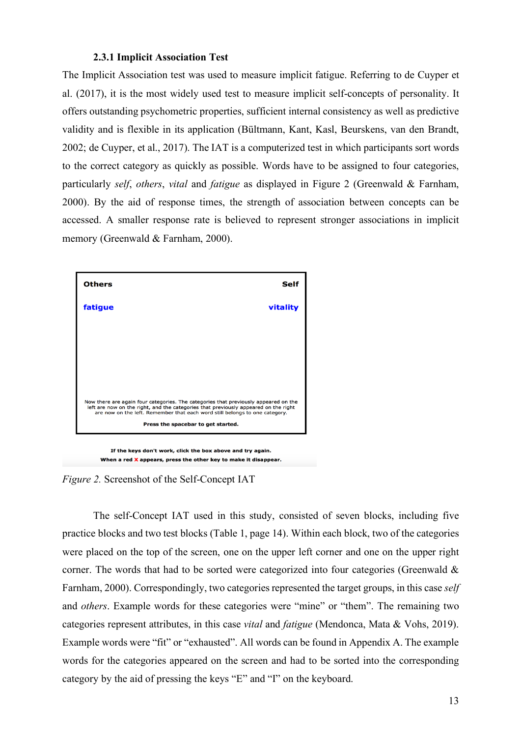### **2.3.1 Implicit Association Test**

The Implicit Association test was used to measure implicit fatigue. Referring to de Cuyper et al. (2017), it is the most widely used test to measure implicit self-concepts of personality. It offers outstanding psychometric properties, sufficient internal consistency as well as predictive validity and is flexible in its application (Bültmann, Kant, Kasl, Beurskens, van den Brandt, 2002; de Cuyper, et al., 2017). The IAT is a computerized test in which participants sort words to the correct category as quickly as possible. Words have to be assigned to four categories, particularly *self*, *others*, *vital* and *fatigue* as displayed in Figure 2 (Greenwald & Farnham, 2000). By the aid of response times, the strength of association between concepts can be accessed. A smaller response rate is believed to represent stronger associations in implicit memory (Greenwald & Farnham, 2000).



If the keys don't work, click the box above and try again. When a red X appears, press the other key to make it disappear.

*Figure 2.* Screenshot of the Self-Concept IAT

The self-Concept IAT used in this study, consisted of seven blocks, including five practice blocks and two test blocks (Table 1, page 14). Within each block, two of the categories were placed on the top of the screen, one on the upper left corner and one on the upper right corner. The words that had to be sorted were categorized into four categories (Greenwald & Farnham, 2000). Correspondingly, two categories represented the target groups, in this case *self* and *others*. Example words for these categories were "mine" or "them". The remaining two categories represent attributes, in this case *vital* and *fatigue* (Mendonca, Mata & Vohs, 2019). Example words were "fit" or "exhausted". All words can be found in Appendix A. The example words for the categories appeared on the screen and had to be sorted into the corresponding category by the aid of pressing the keys "E" and "I" on the keyboard.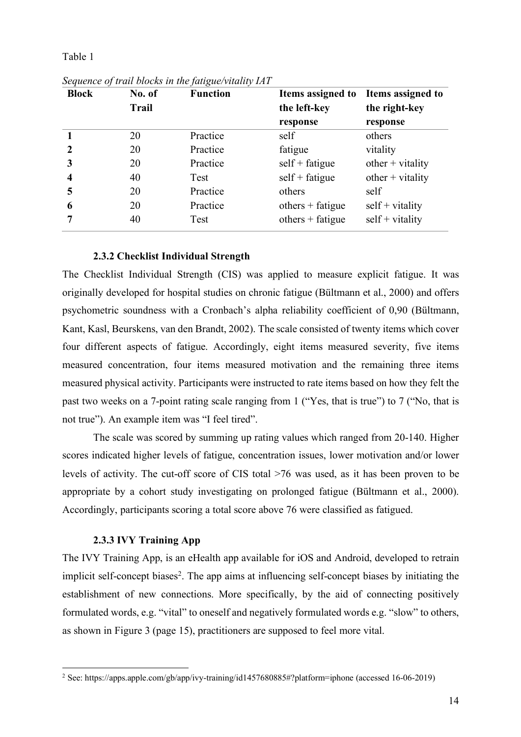### Table 1

| <b>Block</b>            | No. of       | <b>Function</b> | Items assigned to  | Items assigned to  |
|-------------------------|--------------|-----------------|--------------------|--------------------|
|                         | <b>Trail</b> |                 | the left-key       | the right-key      |
|                         |              |                 | response           | response           |
|                         | 20           | Practice        | self               | others             |
| $\mathbf{2}$            | 20           | Practice        | fatigue            | vitality           |
| 3                       | 20           | Practice        | $self + fatigue$   | $other + vitality$ |
| $\overline{\mathbf{4}}$ | 40           | Test            | $self + fatigue$   | $other + vitality$ |
| 5                       | 20           | Practice        | others             | self               |
| 6                       | 20           | Practice        | $others + fatigue$ | $self + vitality$  |
| 7                       | 40           | Test            | $others + fatigue$ | $self + vitality$  |

*Sequence of trail blocks in the fatigue/vitality IAT*

# **2.3.2 Checklist Individual Strength**

The Checklist Individual Strength (CIS) was applied to measure explicit fatigue. It was originally developed for hospital studies on chronic fatigue (Bültmann et al., 2000) and offers psychometric soundness with a Cronbach's alpha reliability coefficient of 0,90 (Bültmann, Kant, Kasl, Beurskens, van den Brandt, 2002). The scale consisted of twenty items which cover four different aspects of fatigue. Accordingly, eight items measured severity, five items measured concentration, four items measured motivation and the remaining three items measured physical activity. Participants were instructed to rate items based on how they felt the past two weeks on a 7-point rating scale ranging from 1 ("Yes, that is true") to 7 ("No, that is not true"). An example item was "I feel tired".

The scale was scored by summing up rating values which ranged from 20-140. Higher scores indicated higher levels of fatigue, concentration issues, lower motivation and/or lower levels of activity. The cut-off score of CIS total >76 was used, as it has been proven to be appropriate by a cohort study investigating on prolonged fatigue (Bültmann et al., 2000). Accordingly, participants scoring a total score above 76 were classified as fatigued.

# **2.3.3 IVY Training App**

The IVY Training App, is an eHealth app available for iOS and Android, developed to retrain implicit self-concept biases<sup>2</sup>. The app aims at influencing self-concept biases by initiating the establishment of new connections. More specifically, by the aid of connecting positively formulated words, e.g. "vital" to oneself and negatively formulated words e.g. "slow" to others, as shown in Figure 3 (page 15), practitioners are supposed to feel more vital.

 <sup>2</sup> See: https://apps.apple.com/gb/app/ivy-training/id1457680885#?platform=iphone (accessed 16-06-2019)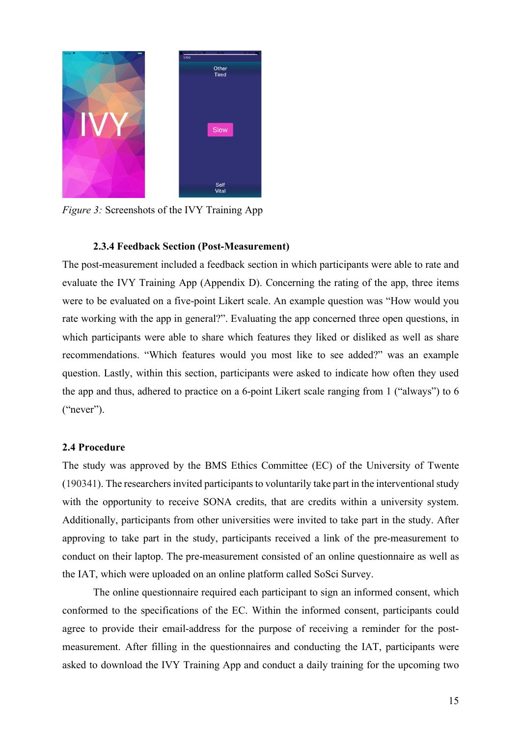

*Figure 3:* Screenshots of the IVY Training App

# **2.3.4 Feedback Section (Post-Measurement)**

The post-measurement included a feedback section in which participants were able to rate and evaluate the IVY Training App (Appendix D). Concerning the rating of the app, three items were to be evaluated on a five-point Likert scale. An example question was "How would you rate working with the app in general?". Evaluating the app concerned three open questions, in which participants were able to share which features they liked or disliked as well as share recommendations. "Which features would you most like to see added?" was an example question. Lastly, within this section, participants were asked to indicate how often they used the app and thus, adhered to practice on a 6-point Likert scale ranging from 1 ("always") to 6 ("never").

# **2.4 Procedure**

The study was approved by the BMS Ethics Committee (EC) of the University of Twente  $(190341)$ . The researchers invited participants to voluntarily take part in the interventional study with the opportunity to receive SONA credits, that are credits within a university system. Additionally, participants from other universities were invited to take part in the study. After approving to take part in the study, participants received a link of the pre-measurement to conduct on their laptop. The pre-measurement consisted of an online questionnaire as well as the IAT, which were uploaded on an online platform called SoSci Survey.

The online questionnaire required each participant to sign an informed consent, which conformed to the specifications of the EC. Within the informed consent, participants could agree to provide their email-address for the purpose of receiving a reminder for the postmeasurement. After filling in the questionnaires and conducting the IAT, participants were asked to download the IVY Training App and conduct a daily training for the upcoming two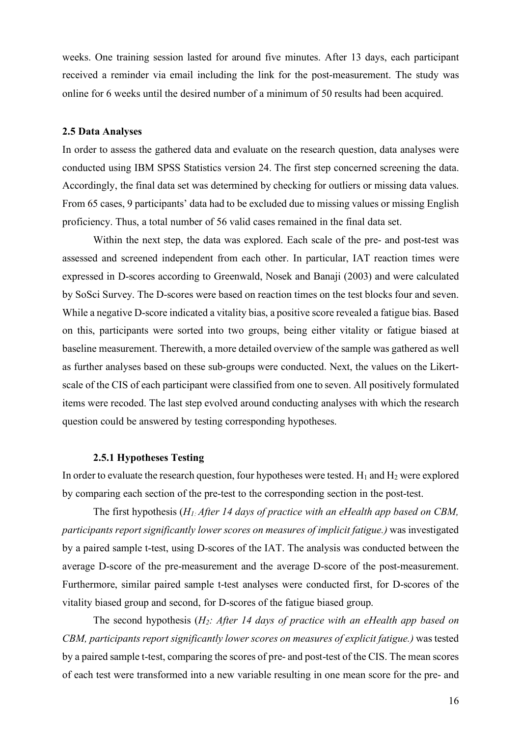weeks. One training session lasted for around five minutes. After 13 days, each participant received a reminder via email including the link for the post-measurement. The study was online for 6 weeks until the desired number of a minimum of 50 results had been acquired.

#### **2.5 Data Analyses**

In order to assess the gathered data and evaluate on the research question, data analyses were conducted using IBM SPSS Statistics version 24. The first step concerned screening the data. Accordingly, the final data set was determined by checking for outliers or missing data values. From 65 cases, 9 participants' data had to be excluded due to missing values or missing English proficiency. Thus, a total number of 56 valid cases remained in the final data set.

Within the next step, the data was explored. Each scale of the pre- and post-test was assessed and screened independent from each other. In particular, IAT reaction times were expressed in D-scores according to Greenwald, Nosek and Banaji (2003) and were calculated by SoSci Survey. The D-scores were based on reaction times on the test blocks four and seven. While a negative D-score indicated a vitality bias, a positive score revealed a fatigue bias. Based on this, participants were sorted into two groups, being either vitality or fatigue biased at baseline measurement. Therewith, a more detailed overview of the sample was gathered as well as further analyses based on these sub-groups were conducted. Next, the values on the Likertscale of the CIS of each participant were classified from one to seven. All positively formulated items were recoded. The last step evolved around conducting analyses with which the research question could be answered by testing corresponding hypotheses.

#### **2.5.1 Hypotheses Testing**

In order to evaluate the research question, four hypotheses were tested.  $H_1$  and  $H_2$  were explored by comparing each section of the pre-test to the corresponding section in the post-test.

The first hypothesis (*H1: After 14 days of practice with an eHealth app based on CBM, participants report significantly lower scores on measures of implicit fatigue.)* was investigated by a paired sample t-test, using D-scores of the IAT. The analysis was conducted between the average D-score of the pre-measurement and the average D-score of the post-measurement. Furthermore, similar paired sample t-test analyses were conducted first, for D-scores of the vitality biased group and second, for D-scores of the fatigue biased group.

The second hypothesis (*H2: After 14 days of practice with an eHealth app based on CBM, participants report significantly lower scores on measures of explicit fatigue.)* was tested by a paired sample t-test, comparing the scores of pre- and post-test of the CIS. The mean scores of each test were transformed into a new variable resulting in one mean score for the pre- and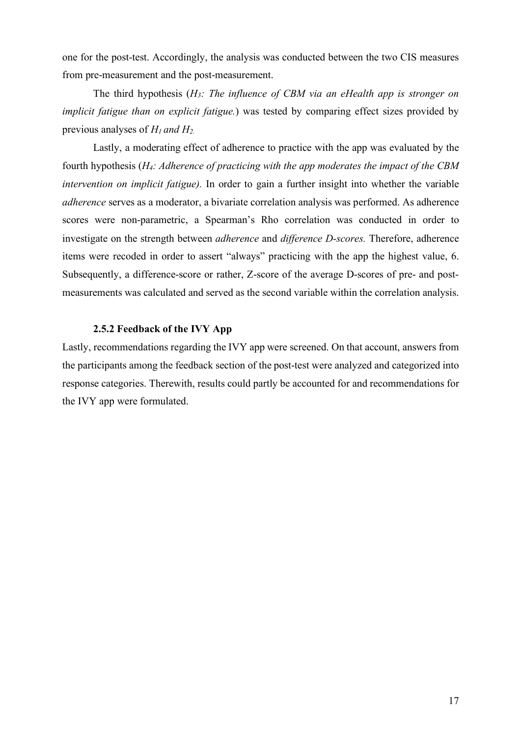one for the post-test. Accordingly, the analysis was conducted between the two CIS measures from pre-measurement and the post-measurement.

The third hypothesis (*H3: The influence of CBM via an eHealth app is stronger on implicit fatigue than on explicit fatigue.*) was tested by comparing effect sizes provided by previous analyses of *H1 and H2.*

Lastly, a moderating effect of adherence to practice with the app was evaluated by the fourth hypothesis (*H4: Adherence of practicing with the app moderates the impact of the CBM intervention on implicit fatigue).* In order to gain a further insight into whether the variable *adherence* serves as a moderator, a bivariate correlation analysis was performed. As adherence scores were non-parametric, a Spearman's Rho correlation was conducted in order to investigate on the strength between *adherence* and *difference D-scores.* Therefore, adherence items were recoded in order to assert "always" practicing with the app the highest value, 6. Subsequently, a difference-score or rather, Z-score of the average D-scores of pre- and postmeasurements was calculated and served as the second variable within the correlation analysis.

#### **2.5.2 Feedback of the IVY App**

Lastly, recommendations regarding the IVY app were screened. On that account, answers from the participants among the feedback section of the post-test were analyzed and categorized into response categories. Therewith, results could partly be accounted for and recommendations for the IVY app were formulated.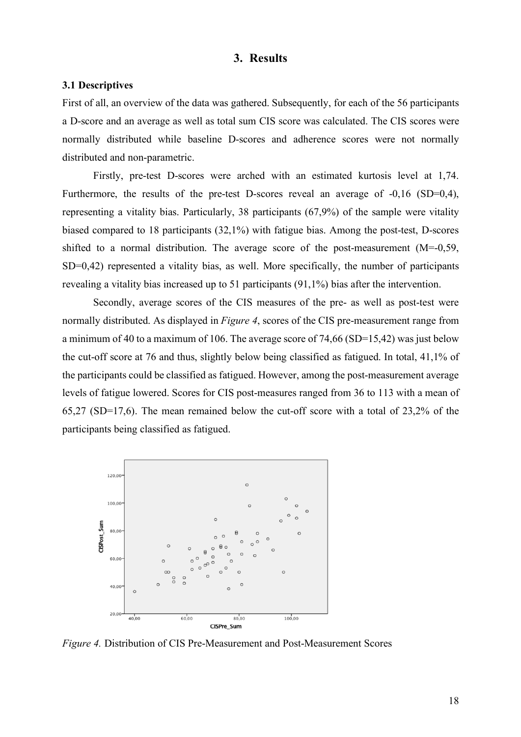# **3. Results**

# **3.1 Descriptives**

First of all, an overview of the data was gathered. Subsequently, for each of the 56 participants a D-score and an average as well as total sum CIS score was calculated. The CIS scores were normally distributed while baseline D-scores and adherence scores were not normally distributed and non-parametric.

Firstly, pre-test D-scores were arched with an estimated kurtosis level at 1,74. Furthermore, the results of the pre-test D-scores reveal an average of  $-0.16$  (SD=0.4), representing a vitality bias. Particularly, 38 participants (67,9%) of the sample were vitality biased compared to 18 participants (32,1%) with fatigue bias. Among the post-test, D-scores shifted to a normal distribution. The average score of the post-measurement (M=-0,59, SD=0,42) represented a vitality bias, as well. More specifically, the number of participants revealing a vitality bias increased up to 51 participants (91,1%) bias after the intervention.

Secondly, average scores of the CIS measures of the pre- as well as post-test were normally distributed. As displayed in *Figure 4*, scores of the CIS pre-measurement range from a minimum of 40 to a maximum of 106. The average score of 74,66 (SD=15,42) was just below the cut-off score at 76 and thus, slightly below being classified as fatigued. In total, 41,1% of the participants could be classified as fatigued. However, among the post-measurement average levels of fatigue lowered. Scores for CIS post-measures ranged from 36 to 113 with a mean of 65,27 (SD=17,6). The mean remained below the cut-off score with a total of 23,2% of the participants being classified as fatigued.



*Figure 4.* Distribution of CIS Pre-Measurement and Post-Measurement Scores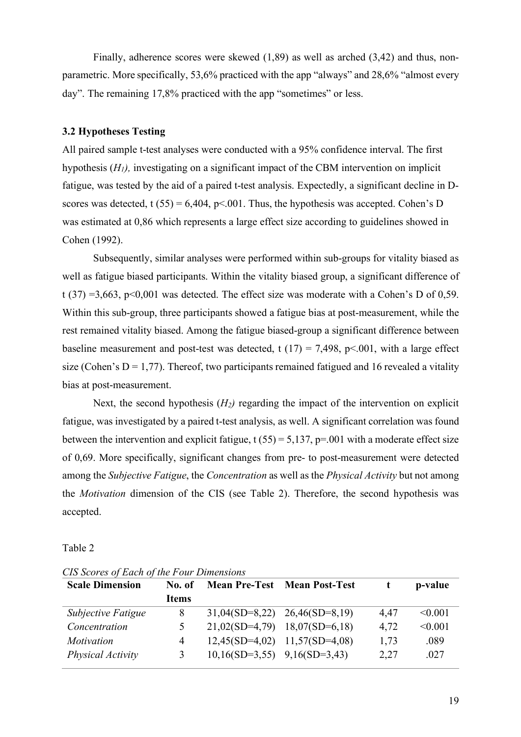Finally, adherence scores were skewed (1,89) as well as arched (3,42) and thus, nonparametric. More specifically, 53,6% practiced with the app "always" and 28,6% "almost every day". The remaining 17,8% practiced with the app "sometimes" or less.

### **3.2 Hypotheses Testing**

All paired sample t-test analyses were conducted with a 95% confidence interval. The first hypothesis (*H1),* investigating on a significant impact of the CBM intervention on implicit fatigue, was tested by the aid of a paired t-test analysis. Expectedly, a significant decline in Dscores was detected, t (55) = 6,404, p<.001. Thus, the hypothesis was accepted. Cohen's D was estimated at 0,86 which represents a large effect size according to guidelines showed in Cohen (1992).

Subsequently, similar analyses were performed within sub-groups for vitality biased as well as fatigue biased participants. Within the vitality biased group, a significant difference of t (37) =3,663, p<0,001 was detected. The effect size was moderate with a Cohen's D of 0,59. Within this sub-group, three participants showed a fatigue bias at post-measurement, while the rest remained vitality biased. Among the fatigue biased-group a significant difference between baseline measurement and post-test was detected, t  $(17) = 7,498$ , p<.001, with a large effect size (Cohen's  $D = 1,77$ ). Thereof, two participants remained fatigued and 16 revealed a vitality bias at post-measurement.

Next, the second hypothesis  $(H_2)$  regarding the impact of the intervention on explicit fatigue, was investigated by a paired t-test analysis, as well. A significant correlation was found between the intervention and explicit fatigue,  $t (55) = 5,137$ ,  $p = .001$  with a moderate effect size of 0,69. More specifically, significant changes from pre- to post-measurement were detected among the *Subjective Fatigue*, the *Concentration* as well as the *Physical Activity* but not among the *Motivation* dimension of the CIS (see Table 2). Therefore, the second hypothesis was accepted.

#### Table 2

| <b>Scale Dimension</b> | No. of        |                                  | <b>Mean Pre-Test Mean Post-Test</b> |      | p-value |
|------------------------|---------------|----------------------------------|-------------------------------------|------|---------|
|                        | <b>Items</b>  |                                  |                                     |      |         |
| Subjective Fatigue     | 8             |                                  | $31,04(SD=8,22)$ $26,46(SD=8,19)$   | 4,47 | < 0.001 |
| Concentration          | $\mathcal{L}$ |                                  | $21,02(SD=4,79)$ $18,07(SD=6,18)$   | 4,72 | < 0.001 |
| Motivation             | 4             |                                  | $12,45(SD=4,02)$ $11,57(SD=4,08)$   | 1,73 | .089    |
| Physical Activity      | 3             | $10,16(SD=3,55)$ $9,16(SD=3,43)$ |                                     | 2,27 | .027    |

*CIS Scores of Each of the Four Dimensions*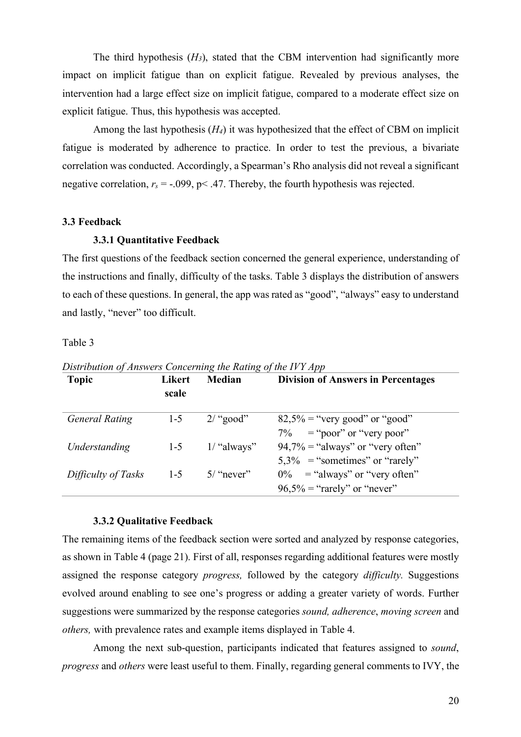The third hypothesis  $(H_3)$ , stated that the CBM intervention had significantly more impact on implicit fatigue than on explicit fatigue. Revealed by previous analyses, the intervention had a large effect size on implicit fatigue, compared to a moderate effect size on explicit fatigue. Thus, this hypothesis was accepted.

Among the last hypothesis (*H4*) it was hypothesized that the effect of CBM on implicit fatigue is moderated by adherence to practice. In order to test the previous, a bivariate correlation was conducted. Accordingly, a Spearman's Rho analysis did not reveal a significant negative correlation,  $r_s = -0.099$ ,  $p < .47$ . Thereby, the fourth hypothesis was rejected.

#### **3.3 Feedback**

### **3.3.1 Quantitative Feedback**

The first questions of the feedback section concerned the general experience, understanding of the instructions and finally, difficulty of the tasks. Table 3 displays the distribution of answers to each of these questions. In general, the app was rated as "good", "always" easy to understand and lastly, "never" too difficult.

Table 3

| $\cdot$<br><b>Topic</b> | Likert<br>scale | ີ<br>ີ<br><b>Median</b> | <b>Division of Answers in Percentages</b>                                |
|-------------------------|-----------------|-------------------------|--------------------------------------------------------------------------|
| <b>General Rating</b>   | $1 - 5$         | $2/$ "good"             | $82,5\%$ = "very good" or "good"<br>$7\%$ = "poor" or "very poor"        |
| Understanding           | $1 - 5$         | $1/$ "always"           | $94,7\% =$ "always" or "very often"<br>$5,3\%$ = "sometimes" or "rarely" |
| Difficulty of Tasks     | $1-5$           | $5/$ "never"            | $0\%$ = "always" or "very often"<br>$96,5\% =$ "rarely" or "never"       |

*Distribution of Answers Concerning the Rating of the IVY App*

#### **3.3.2 Qualitative Feedback**

The remaining items of the feedback section were sorted and analyzed by response categories, as shown in Table 4 (page 21). First of all, responses regarding additional features were mostly assigned the response category *progress,* followed by the category *difficulty.* Suggestions evolved around enabling to see one's progress or adding a greater variety of words. Further suggestions were summarized by the response categories *sound, adherence*, *moving screen* and *others,* with prevalence rates and example items displayed in Table 4.

Among the next sub-question, participants indicated that features assigned to *sound*, *progress* and *others* were least useful to them. Finally, regarding general comments to IVY, the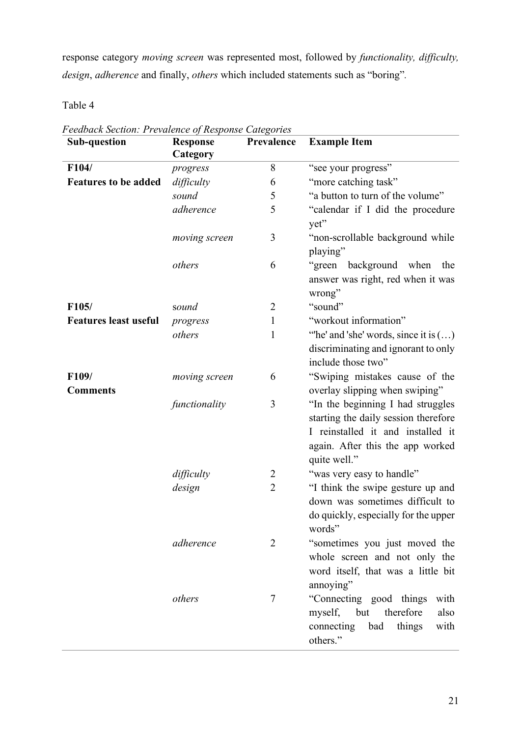response category *moving screen* was represented most, followed by *functionality, difficulty, design*, *adherence* and finally, *others* which included statements such as "boring"*.*

Table 4

| <b>Sub-question</b>          | <b>Response</b><br>Category | Prevalence     | <b>Example Item</b>                                                                                                                                                |
|------------------------------|-----------------------------|----------------|--------------------------------------------------------------------------------------------------------------------------------------------------------------------|
| F104/                        | progress                    | 8              | "see your progress"                                                                                                                                                |
| <b>Features to be added</b>  | difficulty                  | 6              | "more catching task"                                                                                                                                               |
|                              | sound                       | 5              | "a button to turn of the volume"                                                                                                                                   |
|                              | adherence                   | 5              | "calendar if I did the procedure<br>yet"                                                                                                                           |
|                              | moving screen               | 3              | "non-scrollable background while<br>playing"                                                                                                                       |
|                              | others                      | 6              | "green<br>background when<br>the<br>answer was right, red when it was<br>wrong"                                                                                    |
| F105/                        | sound                       | $\overline{2}$ | "sound"                                                                                                                                                            |
| <b>Features least useful</b> | progress                    | $\mathbf{1}$   | "workout information"                                                                                                                                              |
|                              | others                      | $\mathbf{1}$   | "he' and 'she' words, since it is $()$<br>discriminating and ignorant to only<br>include those two"                                                                |
| F109/                        | moving screen               | 6              | "Swiping mistakes cause of the                                                                                                                                     |
| <b>Comments</b>              |                             |                | overlay slipping when swiping"                                                                                                                                     |
|                              | functionality               | 3              | "In the beginning I had struggles<br>starting the daily session therefore<br>I reinstalled it and installed it<br>again. After this the app worked<br>quite well." |
|                              | difficulty                  | $\overline{2}$ | "was very easy to handle"                                                                                                                                          |
|                              | design                      | $\overline{2}$ | "I think the swipe gesture up and<br>down was sometimes difficult to<br>do quickly, especially for the upper<br>words"                                             |
|                              | adherence                   | $\overline{2}$ | "sometimes you just moved the<br>whole screen and not only the<br>word itself, that was a little bit<br>annoying"                                                  |
|                              | others                      | $\tau$         | "Connecting good things<br>with<br>myself, but<br>therefore<br>also<br>things<br>connecting<br>bad<br>with<br>others."                                             |

*Feedback Section: Prevalence of Response Categories*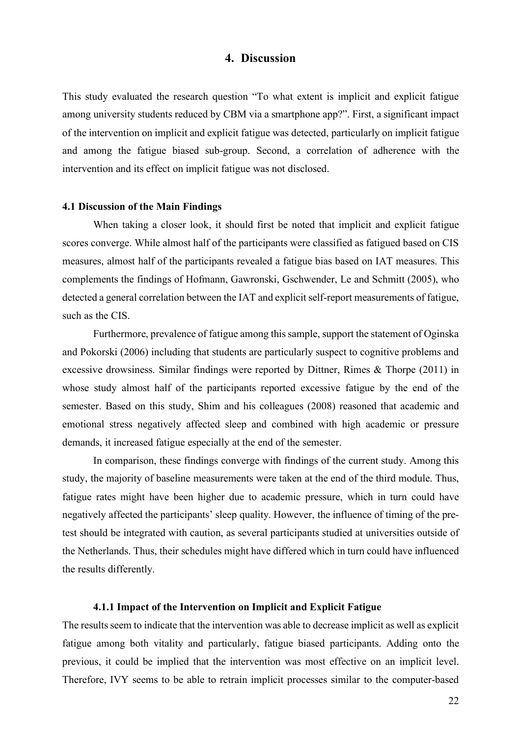# **4. Discussion**

This study evaluated the research question "To what extent is implicit and explicit fatigue among university students reduced by CBM via a smartphone app?". First, a significant impact of the intervention on implicit and explicit fatigue was detected, particularly on implicit fatigue and among the fatigue biased sub-group. Second, a correlation of adherence with the intervention and its effect on implicit fatigue was not disclosed.

#### **4.1 Discussion of the Main Findings**

When taking a closer look, it should first be noted that implicit and explicit fatigue scores converge. While almost half of the participants were classified as fatigued based on CIS measures, almost half of the participants revealed a fatigue bias based on IAT measures. This complements the findings of Hofmann, Gawronski, Gschwender, Le and Schmitt (2005), who detected a general correlation between the IAT and explicit self-report measurements of fatigue, such as the CIS.

Furthermore, prevalence of fatigue among this sample, support the statement of Oginska and Pokorski (2006) including that students are particularly suspect to cognitive problems and excessive drowsiness. Similar findings were reported by Dittner, Rimes & Thorpe (2011) in whose study almost half of the participants reported excessive fatigue by the end of the semester. Based on this study, Shim and his colleagues (2008) reasoned that academic and emotional stress negatively affected sleep and combined with high academic or pressure demands, it increased fatigue especially at the end of the semester.

In comparison, these findings converge with findings of the current study. Among this study, the majority of baseline measurements were taken at the end of the third module. Thus, fatigue rates might have been higher due to academic pressure, which in turn could have negatively affected the participants' sleep quality. However, the influence of timing of the pretest should be integrated with caution, as several participants studied at universities outside of the Netherlands. Thus, their schedules might have differed which in turn could have influenced the results differently.

#### **4.1.1 Impact of the Intervention on Implicit and Explicit Fatigue**

The results seem to indicate that the intervention was able to decrease implicit as well as explicit fatigue among both vitality and particularly, fatigue biased participants. Adding onto the previous, it could be implied that the intervention was most effective on an implicit level. Therefore, IVY seems to be able to retrain implicit processes similar to the computer-based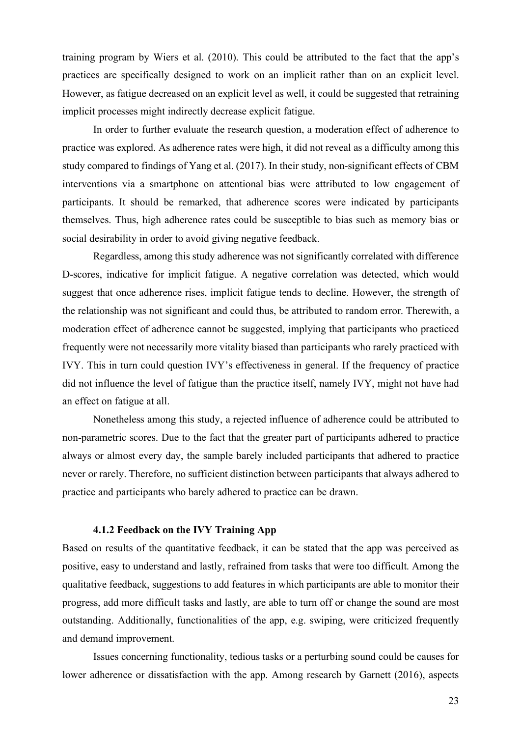training program by Wiers et al. (2010). This could be attributed to the fact that the app's practices are specifically designed to work on an implicit rather than on an explicit level. However, as fatigue decreased on an explicit level as well, it could be suggested that retraining implicit processes might indirectly decrease explicit fatigue.

In order to further evaluate the research question, a moderation effect of adherence to practice was explored. As adherence rates were high, it did not reveal as a difficulty among this study compared to findings of Yang et al. (2017). In their study, non-significant effects of CBM interventions via a smartphone on attentional bias were attributed to low engagement of participants. It should be remarked, that adherence scores were indicated by participants themselves. Thus, high adherence rates could be susceptible to bias such as memory bias or social desirability in order to avoid giving negative feedback.

Regardless, among this study adherence was not significantly correlated with difference D-scores, indicative for implicit fatigue. A negative correlation was detected, which would suggest that once adherence rises, implicit fatigue tends to decline. However, the strength of the relationship was not significant and could thus, be attributed to random error. Therewith, a moderation effect of adherence cannot be suggested, implying that participants who practiced frequently were not necessarily more vitality biased than participants who rarely practiced with IVY. This in turn could question IVY's effectiveness in general. If the frequency of practice did not influence the level of fatigue than the practice itself, namely IVY, might not have had an effect on fatigue at all.

Nonetheless among this study, a rejected influence of adherence could be attributed to non-parametric scores. Due to the fact that the greater part of participants adhered to practice always or almost every day, the sample barely included participants that adhered to practice never or rarely. Therefore, no sufficient distinction between participants that always adhered to practice and participants who barely adhered to practice can be drawn.

#### **4.1.2 Feedback on the IVY Training App**

Based on results of the quantitative feedback, it can be stated that the app was perceived as positive, easy to understand and lastly, refrained from tasks that were too difficult. Among the qualitative feedback, suggestions to add features in which participants are able to monitor their progress, add more difficult tasks and lastly, are able to turn off or change the sound are most outstanding. Additionally, functionalities of the app, e.g. swiping, were criticized frequently and demand improvement.

Issues concerning functionality, tedious tasks or a perturbing sound could be causes for lower adherence or dissatisfaction with the app. Among research by Garnett (2016), aspects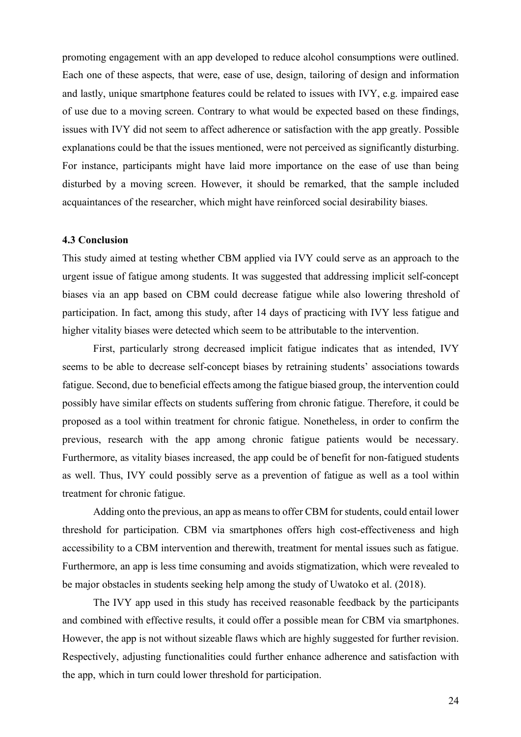promoting engagement with an app developed to reduce alcohol consumptions were outlined. Each one of these aspects, that were, ease of use, design, tailoring of design and information and lastly, unique smartphone features could be related to issues with IVY, e.g. impaired ease of use due to a moving screen. Contrary to what would be expected based on these findings, issues with IVY did not seem to affect adherence or satisfaction with the app greatly. Possible explanations could be that the issues mentioned, were not perceived as significantly disturbing. For instance, participants might have laid more importance on the ease of use than being disturbed by a moving screen. However, it should be remarked, that the sample included acquaintances of the researcher, which might have reinforced social desirability biases.

#### **4.3 Conclusion**

This study aimed at testing whether CBM applied via IVY could serve as an approach to the urgent issue of fatigue among students. It was suggested that addressing implicit self-concept biases via an app based on CBM could decrease fatigue while also lowering threshold of participation. In fact, among this study, after 14 days of practicing with IVY less fatigue and higher vitality biases were detected which seem to be attributable to the intervention.

First, particularly strong decreased implicit fatigue indicates that as intended, IVY seems to be able to decrease self-concept biases by retraining students' associations towards fatigue. Second, due to beneficial effects among the fatigue biased group, the intervention could possibly have similar effects on students suffering from chronic fatigue. Therefore, it could be proposed as a tool within treatment for chronic fatigue. Nonetheless, in order to confirm the previous, research with the app among chronic fatigue patients would be necessary. Furthermore, as vitality biases increased, the app could be of benefit for non-fatigued students as well. Thus, IVY could possibly serve as a prevention of fatigue as well as a tool within treatment for chronic fatigue.

Adding onto the previous, an app as means to offer CBM for students, could entail lower threshold for participation. CBM via smartphones offers high cost-effectiveness and high accessibility to a CBM intervention and therewith, treatment for mental issues such as fatigue. Furthermore, an app is less time consuming and avoids stigmatization, which were revealed to be major obstacles in students seeking help among the study of Uwatoko et al. (2018).

The IVY app used in this study has received reasonable feedback by the participants and combined with effective results, it could offer a possible mean for CBM via smartphones. However, the app is not without sizeable flaws which are highly suggested for further revision. Respectively, adjusting functionalities could further enhance adherence and satisfaction with the app, which in turn could lower threshold for participation.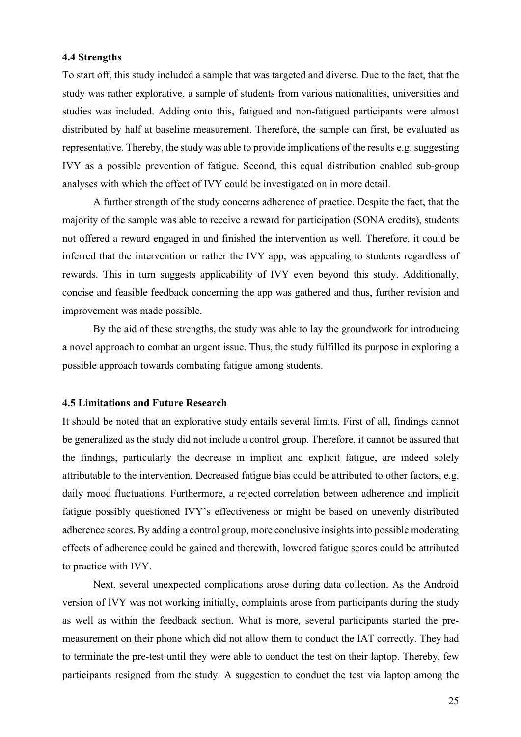#### **4.4 Strengths**

To start off, this study included a sample that was targeted and diverse. Due to the fact, that the study was rather explorative, a sample of students from various nationalities, universities and studies was included. Adding onto this, fatigued and non-fatigued participants were almost distributed by half at baseline measurement. Therefore, the sample can first, be evaluated as representative. Thereby, the study was able to provide implications of the results e.g. suggesting IVY as a possible prevention of fatigue. Second, this equal distribution enabled sub-group analyses with which the effect of IVY could be investigated on in more detail.

A further strength of the study concerns adherence of practice. Despite the fact, that the majority of the sample was able to receive a reward for participation (SONA credits), students not offered a reward engaged in and finished the intervention as well. Therefore, it could be inferred that the intervention or rather the IVY app, was appealing to students regardless of rewards. This in turn suggests applicability of IVY even beyond this study. Additionally, concise and feasible feedback concerning the app was gathered and thus, further revision and improvement was made possible.

By the aid of these strengths, the study was able to lay the groundwork for introducing a novel approach to combat an urgent issue. Thus, the study fulfilled its purpose in exploring a possible approach towards combating fatigue among students.

#### **4.5 Limitations and Future Research**

It should be noted that an explorative study entails several limits. First of all, findings cannot be generalized as the study did not include a control group. Therefore, it cannot be assured that the findings, particularly the decrease in implicit and explicit fatigue, are indeed solely attributable to the intervention. Decreased fatigue bias could be attributed to other factors, e.g. daily mood fluctuations. Furthermore, a rejected correlation between adherence and implicit fatigue possibly questioned IVY's effectiveness or might be based on unevenly distributed adherence scores. By adding a control group, more conclusive insights into possible moderating effects of adherence could be gained and therewith, lowered fatigue scores could be attributed to practice with IVY.

Next, several unexpected complications arose during data collection. As the Android version of IVY was not working initially, complaints arose from participants during the study as well as within the feedback section. What is more, several participants started the premeasurement on their phone which did not allow them to conduct the IAT correctly. They had to terminate the pre-test until they were able to conduct the test on their laptop. Thereby, few participants resigned from the study. A suggestion to conduct the test via laptop among the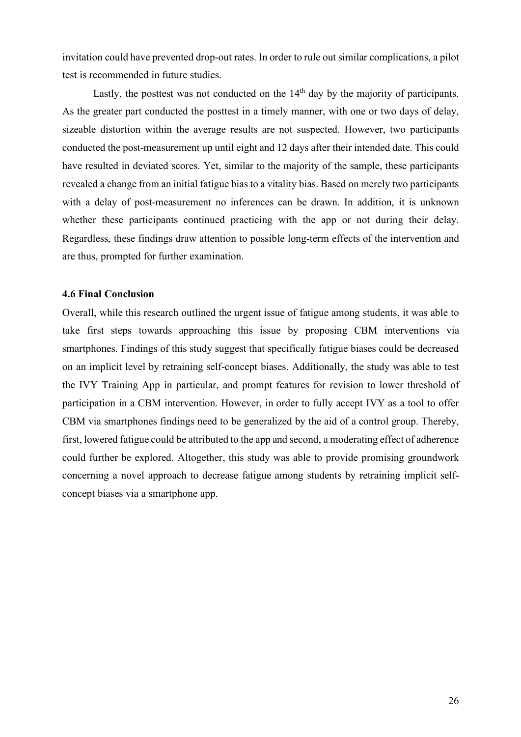invitation could have prevented drop-out rates. In order to rule out similar complications, a pilot test is recommended in future studies.

Lastly, the posttest was not conducted on the  $14<sup>th</sup>$  day by the majority of participants. As the greater part conducted the posttest in a timely manner, with one or two days of delay, sizeable distortion within the average results are not suspected. However, two participants conducted the post-measurement up until eight and 12 days after their intended date. This could have resulted in deviated scores. Yet, similar to the majority of the sample, these participants revealed a change from an initial fatigue bias to a vitality bias. Based on merely two participants with a delay of post-measurement no inferences can be drawn. In addition, it is unknown whether these participants continued practicing with the app or not during their delay. Regardless, these findings draw attention to possible long-term effects of the intervention and are thus, prompted for further examination.

# **4.6 Final Conclusion**

Overall, while this research outlined the urgent issue of fatigue among students, it was able to take first steps towards approaching this issue by proposing CBM interventions via smartphones. Findings of this study suggest that specifically fatigue biases could be decreased on an implicit level by retraining self-concept biases. Additionally, the study was able to test the IVY Training App in particular, and prompt features for revision to lower threshold of participation in a CBM intervention. However, in order to fully accept IVY as a tool to offer CBM via smartphones findings need to be generalized by the aid of a control group. Thereby, first, lowered fatigue could be attributed to the app and second, a moderating effect of adherence could further be explored. Altogether, this study was able to provide promising groundwork concerning a novel approach to decrease fatigue among students by retraining implicit selfconcept biases via a smartphone app.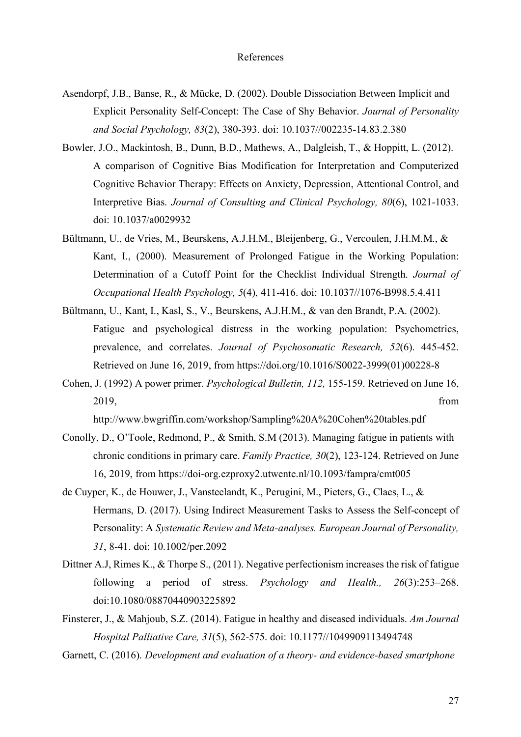- Asendorpf, J.B., Banse, R., & Mücke, D. (2002). Double Dissociation Between Implicit and Explicit Personality Self-Concept: The Case of Shy Behavior. *Journal of Personality and Social Psychology, 83*(2), 380-393. doi: 10.1037//002235-14.83.2.380
- Bowler, J.O., Mackintosh, B., Dunn, B.D., Mathews, A., Dalgleish, T., & Hoppitt, L. (2012). A comparison of Cognitive Bias Modification for Interpretation and Computerized Cognitive Behavior Therapy: Effects on Anxiety, Depression, Attentional Control, and Interpretive Bias. *Journal of Consulting and Clinical Psychology, 80*(6), 1021-1033. doi: 10.1037/a0029932
- Bültmann, U., de Vries, M., Beurskens, A.J.H.M., Bleijenberg, G., Vercoulen, J.H.M.M., & Kant, I., (2000). Measurement of Prolonged Fatigue in the Working Population: Determination of a Cutoff Point for the Checklist Individual Strength. *Journal of Occupational Health Psychology, 5*(4), 411-416. doi: 10.1037//1076-B998.5.4.411
- Bültmann, U., Kant, I., Kasl, S., V., Beurskens, A.J.H.M., & van den Brandt, P.A. (2002). Fatigue and psychological distress in the working population: Psychometrics, prevalence, and correlates. *Journal of Psychosomatic Research, 52*(6). 445-452. Retrieved on June 16, 2019, from https://doi.org/10.1016/S0022-3999(01)00228-8
- Cohen, J. (1992) A power primer. *Psychological Bulletin, 112,* 155-159. Retrieved on June 16, 2019, from

http://www.bwgriffin.com/workshop/Sampling%20A%20Cohen%20tables.pdf

- Conolly, D., O'Toole, Redmond, P., & Smith, S.M (2013). Managing fatigue in patients with chronic conditions in primary care. *Family Practice, 30*(2), 123-124. Retrieved on June 16, 2019, from https://doi-org.ezproxy2.utwente.nl/10.1093/fampra/cmt005
- de Cuyper, K., de Houwer, J., Vansteelandt, K., Perugini, M., Pieters, G., Claes, L., & Hermans, D. (2017). Using Indirect Measurement Tasks to Assess the Self-concept of Personality: A *Systematic Review and Meta-analyses. European Journal of Personality, 31*, 8-41. doi: 10.1002/per.2092
- Dittner A.J, Rimes K., & Thorpe S., (2011). Negative perfectionism increases the risk of fatigue following a period of stress. *Psychology and Health., 26*(3):253–268. doi:10.1080/08870440903225892
- Finsterer, J., & Mahjoub, S.Z. (2014). Fatigue in healthy and diseased individuals. *Am Journal Hospital Palliative Care, 31*(5), 562-575. doi: 10.1177//1049909113494748
- Garnett, C. (2016). *Development and evaluation of a theory- and evidence-based smartphone*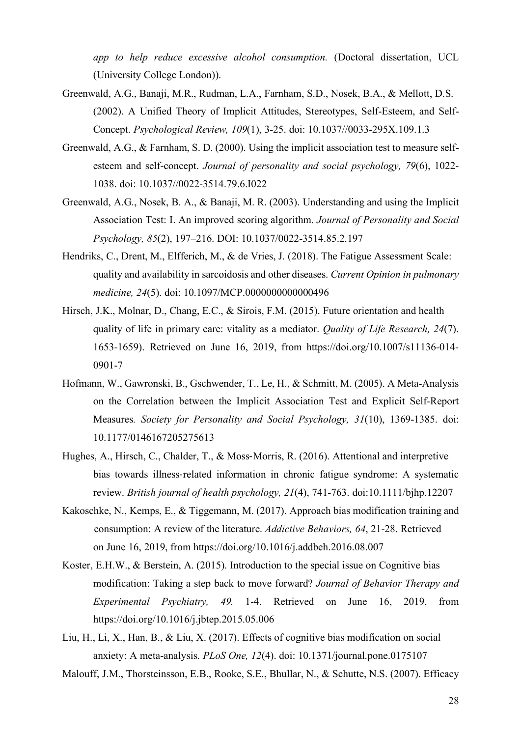*app to help reduce excessive alcohol consumption.* (Doctoral dissertation, UCL (University College London)).

- Greenwald, A.G., Banaji, M.R., Rudman, L.A., Farnham, S.D., Nosek, B.A., & Mellott, D.S. (2002). A Unified Theory of Implicit Attitudes, Stereotypes, Self-Esteem, and Self-Concept. *Psychological Review, 109*(1), 3-25. doi: 10.1037//0033-295X.109.1.3
- Greenwald, A.G., & Farnham, S. D. (2000). Using the implicit association test to measure selfesteem and self-concept. *Journal of personality and social psychology, 79*(6), 1022- 1038. doi: 10.1037//0022-3514.79.6.I022
- Greenwald, A.G., Nosek, B. A., & Banaji, M. R. (2003). Understanding and using the Implicit Association Test: I. An improved scoring algorithm. *Journal of Personality and Social Psychology, 85*(2), 197–216. DOI: 10.1037/0022-3514.85.2.197
- Hendriks, C., Drent, M., Elfferich, M., & de Vries, J. (2018). The Fatigue Assessment Scale: quality and availability in sarcoidosis and other diseases. *Current Opinion in pulmonary medicine, 24*(5). doi: 10.1097/MCP.0000000000000496
- Hirsch, J.K., Molnar, D., Chang, E.C., & Sirois, F.M. (2015). Future orientation and health quality of life in primary care: vitality as a mediator. *Quality of Life Research, 24*(7). 1653-1659). Retrieved on June 16, 2019, from https://doi.org/10.1007/s11136-014- 0901-7
- Hofmann, W., Gawronski, B., Gschwender, T., Le, H., & Schmitt, M. (2005). A Meta-Analysis on the Correlation between the Implicit Association Test and Explicit Self-Report Measures*. Society for Personality and Social Psychology, 31*(10), 1369-1385. doi: 10.1177/0146167205275613
- Hughes, A., Hirsch, C., Chalder, T., & Moss-Morris, R. (2016). Attentional and interpretive bias towards illness-related information in chronic fatigue syndrome: A systematic review. *British journal of health psychology, 21*(4), 741-763. doi:10.1111/bjhp.12207
- Kakoschke, N., Kemps, E., & Tiggemann, M. (2017). Approach bias modification training and consumption: A review of the literature. *Addictive Behaviors, 64*, 21-28. Retrieved on June 16, 2019, from https://doi.org/10.1016/j.addbeh.2016.08.007
- Koster, E.H.W., & Berstein, A. (2015). Introduction to the special issue on Cognitive bias modification: Taking a step back to move forward? *Journal of Behavior Therapy and Experimental Psychiatry, 49.* 1-4. Retrieved on June 16, 2019, from https://doi.org/10.1016/j.jbtep.2015.05.006
- Liu, H., Li, X., Han, B., & Liu, X. (2017). Effects of cognitive bias modification on social anxiety: A meta-analysis. *PLoS One, 12*(4). doi: 10.1371/journal.pone.0175107

Malouff, J.M., Thorsteinsson, E.B., Rooke, S.E., Bhullar, N., & Schutte, N.S. (2007). Efficacy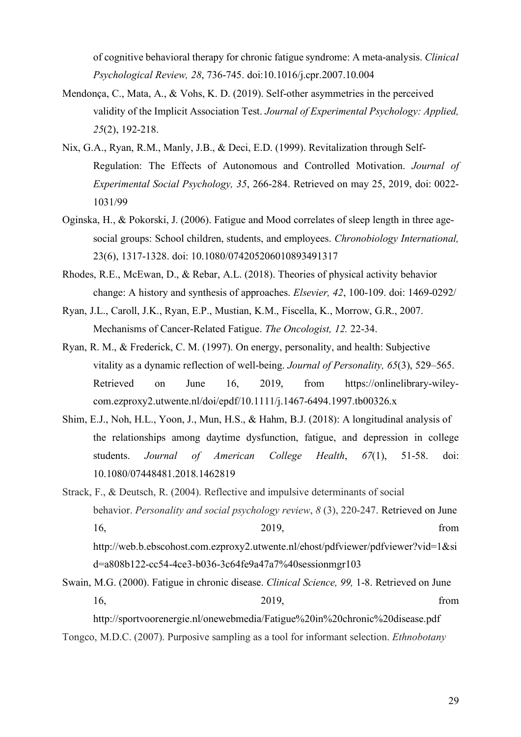of cognitive behavioral therapy for chronic fatigue syndrome: A meta-analysis. *Clinical Psychological Review, 28*, 736-745. doi:10.1016/j.cpr.2007.10.004

- Mendonça, C., Mata, A., & Vohs, K. D. (2019). Self-other asymmetries in the perceived validity of the Implicit Association Test. *Journal of Experimental Psychology: Applied, 25*(2), 192-218.
- Nix, G.A., Ryan, R.M., Manly, J.B., & Deci, E.D. (1999). Revitalization through Self-Regulation: The Effects of Autonomous and Controlled Motivation. *Journal of Experimental Social Psychology, 35*, 266-284. Retrieved on may 25, 2019, doi: 0022- 1031/99
- Oginska, H., & Pokorski, J. (2006). Fatigue and Mood correlates of sleep length in three agesocial groups: School children, students, and employees. *Chronobiology International,*  23(6), 1317-1328. doi: 10.1080/074205206010893491317
- Rhodes, R.E., McEwan, D., & Rebar, A.L. (2018). Theories of physical activity behavior change: A history and synthesis of approaches. *Elsevier, 42*, 100-109. doi: 1469-0292/
- Ryan, J.L., Caroll, J.K., Ryan, E.P., Mustian, K.M., Fiscella, K., Morrow, G.R., 2007. Mechanisms of Cancer-Related Fatigue. *The Oncologist, 12.* 22-34.
- Ryan, R. M., & Frederick, C. M. (1997). On energy, personality, and health: Subjective vitality as a dynamic reflection of well-being. *Journal of Personality, 65*(3), 529–565. Retrieved on June 16, 2019, from https://onlinelibrary-wileycom.ezproxy2.utwente.nl/doi/epdf/10.1111/j.1467-6494.1997.tb00326.x
- Shim, E.J., Noh, H.L., Yoon, J., Mun, H.S., & Hahm, B.J. (2018): A longitudinal analysis of the relationships among daytime dysfunction, fatigue, and depression in college students. *Journal of American College Health*, *67*(1), 51-58. doi: 10.1080/07448481.2018.1462819

Strack, F., & Deutsch, R. (2004). Reflective and impulsive determinants of social behavior. *Personality and social psychology review*, *8* (3), 220-247. Retrieved on June 16, 2019, from http://web.b.ebscohost.com.ezproxy2.utwente.nl/ehost/pdfviewer/pdfviewer?vid=1&si d=a808b122-cc54-4ce3-b036-3c64fe9a47a7%40sessionmgr103

Swain, M.G. (2000). Fatigue in chronic disease. *Clinical Science, 99,* 1-8. Retrieved on June 16, 2019, from

http://sportvoorenergie.nl/onewebmedia/Fatigue%20in%20chronic%20disease.pdf Tongco, M.D.C. (2007). Purposive sampling as a tool for informant selection. *Ethnobotany*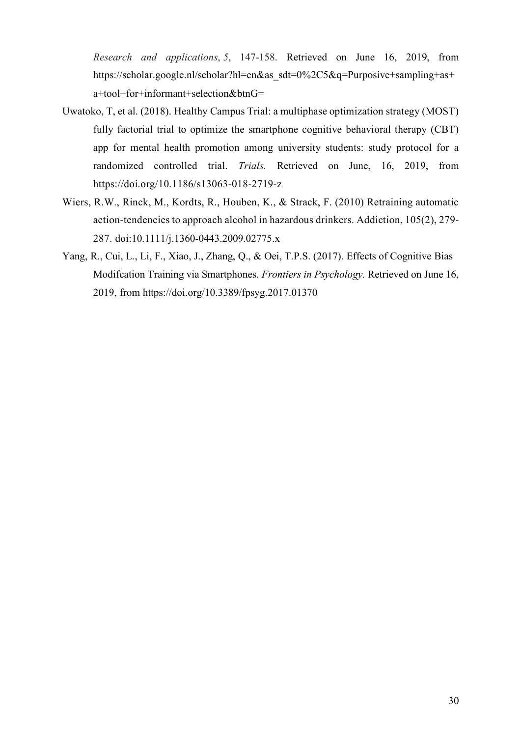*Research and applications*, *5*, 147-158. Retrieved on June 16, 2019, from https://scholar.google.nl/scholar?hl=en&as\_sdt=0%2C5&q=Purposive+sampling+as+ a+tool+for+informant+selection&btnG=

- Uwatoko, T, et al. (2018). Healthy Campus Trial: a multiphase optimization strategy (MOST) fully factorial trial to optimize the smartphone cognitive behavioral therapy (CBT) app for mental health promotion among university students: study protocol for a randomized controlled trial. *Trials.* Retrieved on June, 16, 2019, from https://doi.org/10.1186/s13063-018-2719-z
- Wiers, R.W., Rinck, M., Kordts, R., Houben, K., & Strack, F. (2010) Retraining automatic action-tendencies to approach alcohol in hazardous drinkers. Addiction, 105(2), 279- 287. doi:10.1111/j.1360-0443.2009.02775.x
- Yang, R., Cui, L., Li, F., Xiao, J., Zhang, Q., & Oei, T.P.S. (2017). Effects of Cognitive Bias Modifcation Training via Smartphones. *Frontiers in Psychology.* Retrieved on June 16, 2019, from https://doi.org/10.3389/fpsyg.2017.01370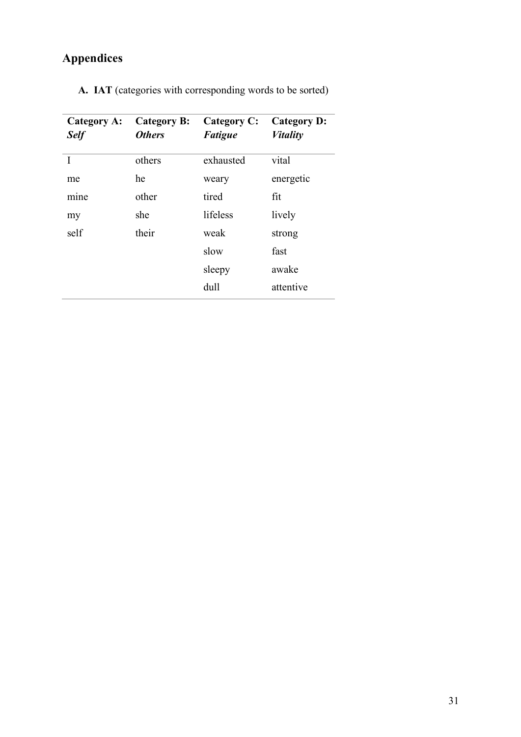# **Appendices**

| others<br>he | exhausted | vital     |
|--------------|-----------|-----------|
|              |           |           |
|              | weary     | energetic |
| other        | tired     | fit       |
| she          | lifeless  | lively    |
| their        | weak      | strong    |
|              | slow      | fast      |
|              | sleepy    | awake     |
|              | dull      | attentive |
|              |           |           |

**A. IAT** (categories with corresponding words to be sorted)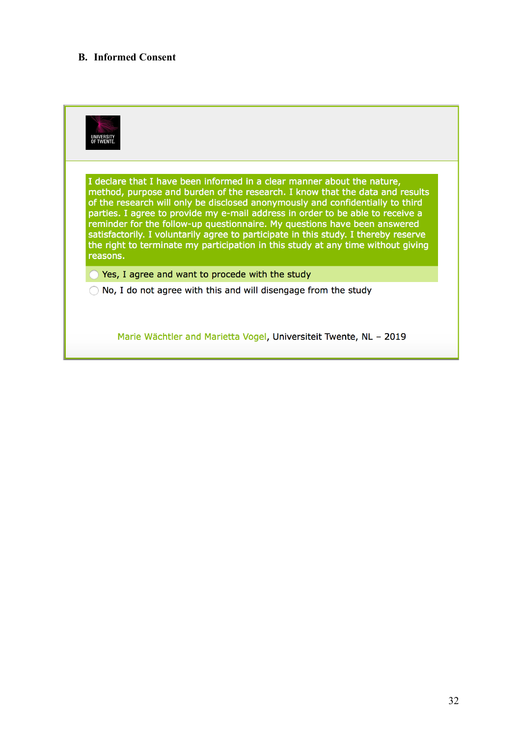# **B. Informed Consent**

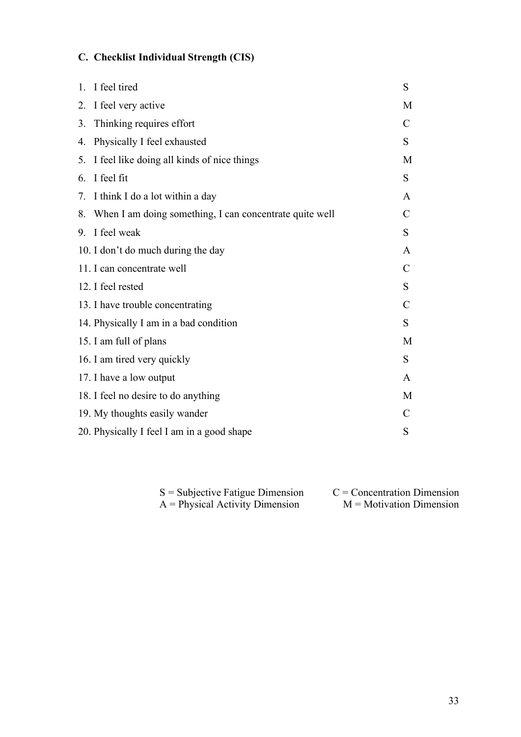# **C. Checklist Individual Strength (CIS)**

|    | 1. I feel tired                                            | S             |
|----|------------------------------------------------------------|---------------|
|    | 2. I feel very active                                      | M             |
| 3. | Thinking requires effort                                   | $\mathcal{C}$ |
| 4. | Physically I feel exhausted                                | S             |
|    | 5. I feel like doing all kinds of nice things              | M             |
|    | 6. I feel fit                                              | S             |
|    | 7. I think I do a lot within a day                         | A             |
|    | 8. When I am doing something, I can concentrate quite well | $\mathcal{C}$ |
|    | 9. I feel weak                                             | S             |
|    | 10. I don't do much during the day                         | A             |
|    | 11. I can concentrate well                                 | C             |
|    | 12. I feel rested                                          | S             |
|    | 13. I have trouble concentrating                           | C             |
|    | 14. Physically I am in a bad condition                     | S             |
|    | 15. I am full of plans                                     | M             |
|    | 16. I am tired very quickly                                | S             |
|    | 17. I have a low output                                    | A             |
|    | 18. I feel no desire to do anything                        | M             |
|    | 19. My thoughts easily wander                              | C             |
|    | 20. Physically I feel I am in a good shape                 | S             |
|    |                                                            |               |

| $S =$ Subjective Fatigue Dimension | $C =$ Concentration Dimension |
|------------------------------------|-------------------------------|
| $A = Physical Activity Dimension$  | $M = Motivation$ Dimension    |